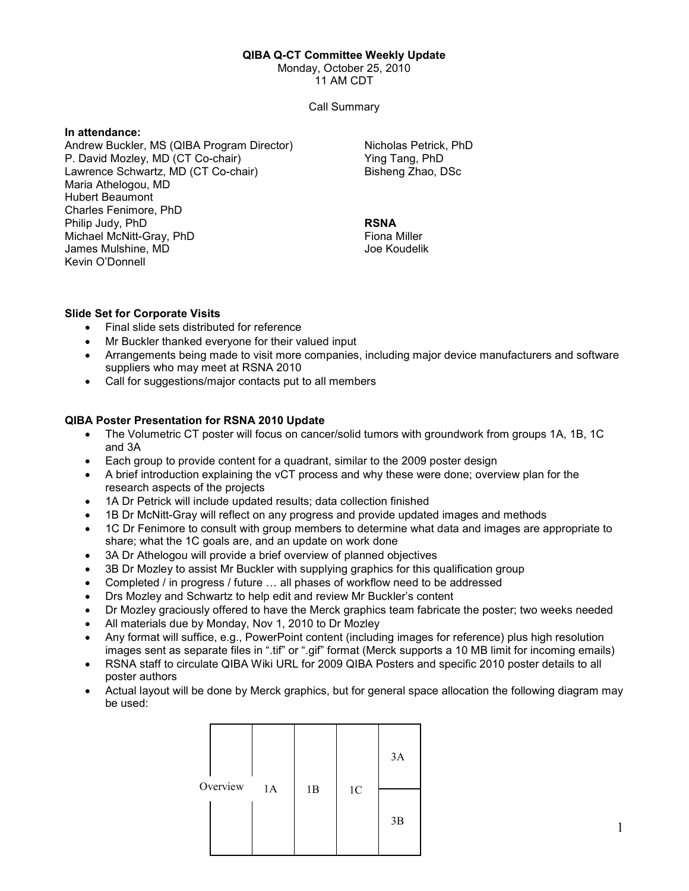#### QIBA Q-CT Committee Weekly Update

Monday, October 25, 2010

11 AM CDT

Call Summary

## In attendance:

Andrew Buckler, MS (QIBA Program Director) P. David Mozley, MD (CT Co-chair) Lawrence Schwartz, MD (CT Co-chair) Maria Athelogou, MD Hubert Beaumont Charles Fenimore, PhD Philip Judy, PhD Michael McNitt-Gray, PhD James Mulshine, MD Kevin O'Donnell

Nicholas Petrick, PhD Ying Tang, PhD Bisheng Zhao, DSc

#### RSNA Fiona Miller Joe Koudelik

## Slide Set for Corporate Visits

- Final slide sets distributed for reference
- Mr Buckler thanked everyone for their valued input
- Arrangements being made to visit more companies, including major device manufacturers and software suppliers who may meet at RSNA 2010
- Call for suggestions/major contacts put to all members

# QIBA Poster Presentation for RSNA 2010 Update

- The Volumetric CT poster will focus on cancer/solid tumors with groundwork from groups 1A, 1B, 1C and 3A
- Each group to provide content for a quadrant, similar to the 2009 poster design
- A brief introduction explaining the vCT process and why these were done; overview plan for the research aspects of the projects
- 1A Dr Petrick will include updated results; data collection finished
- 1B Dr McNitt-Gray will reflect on any progress and provide updated images and methods
- 1C Dr Fenimore to consult with group members to determine what data and images are appropriate to share; what the 1C goals are, and an update on work done
- 3A Dr Athelogou will provide a brief overview of planned objectives
- 3B Dr Mozley to assist Mr Buckler with supplying graphics for this qualification group
- Completed / in progress / future … all phases of workflow need to be addressed
- Drs Mozley and Schwartz to help edit and review Mr Buckler's content
- Dr Mozley graciously offered to have the Merck graphics team fabricate the poster; two weeks needed
- All materials due by Monday, Nov 1, 2010 to Dr Mozley
- Any format will suffice, e.g., PowerPoint content (including images for reference) plus high resolution images sent as separate files in ".tif" or ".gif" format (Merck supports a 10 MB limit for incoming emails)
- RSNA staff to circulate QIBA Wiki URL for 2009 QIBA Posters and specific 2010 poster details to all poster authors
- Actual layout will be done by Merck graphics, but for general space allocation the following diagram may be used:

| Overview | 1A |    |                | 3A |
|----------|----|----|----------------|----|
|          |    | 1B | 1 <sup>C</sup> | 3B |